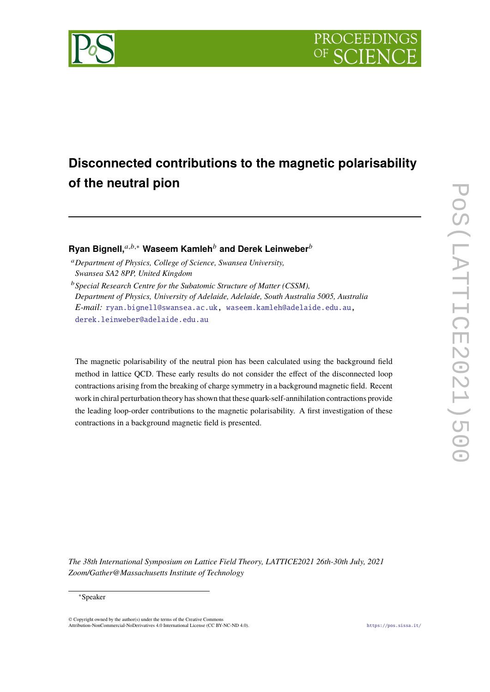



# **Disconnected contributions to the magnetic polarisability of the neutral pion**

**Ryan Bignell,** $a,b,*$  Waseem Kamleh<sup>b</sup> and Derek Leinweber<sup>b</sup>

- <sup>𝑎</sup>*Department of Physics, College of Science, Swansea University, Swansea SA2 8PP, United Kingdom*
- <sup>b</sup> Special Research Centre for the Subatomic Structure of Matter (CSSM), *Department of Physics, University of Adelaide, Adelaide, South Australia 5005, Australia E-mail:* [ryan.bignell@swansea.ac.uk,](mailto:ryan.bignell@swansea.ac.uk) [waseem.kamleh@adelaide.edu.au,](mailto:waseem.kamleh@adelaide.edu.au) [derek.leinweber@adelaide.edu.au](mailto:derek.leinweber@adelaide.edu.au)

The magnetic polarisability of the neutral pion has been calculated using the background field method in lattice QCD. These early results do not consider the effect of the disconnected loop contractions arising from the breaking of charge symmetry in a background magnetic field. Recent work in chiral perturbation theory has shown that these quark-self-annihilation contractions provide the leading loop-order contributions to the magnetic polarisability. A first investigation of these contractions in a background magnetic field is presented.

*The 38th International Symposium on Lattice Field Theory, LATTICE2021 26th-30th July, 2021 Zoom/Gather@Massachusetts Institute of Technology*

<sup>∗</sup>Speaker

 $\odot$  Copyright owned by the author(s) under the terms of the Creative Common Attribution-NonCommercial-NoDerivatives 4.0 International License (CC BY-NC-ND 4.0). <https://pos.sissa.it/>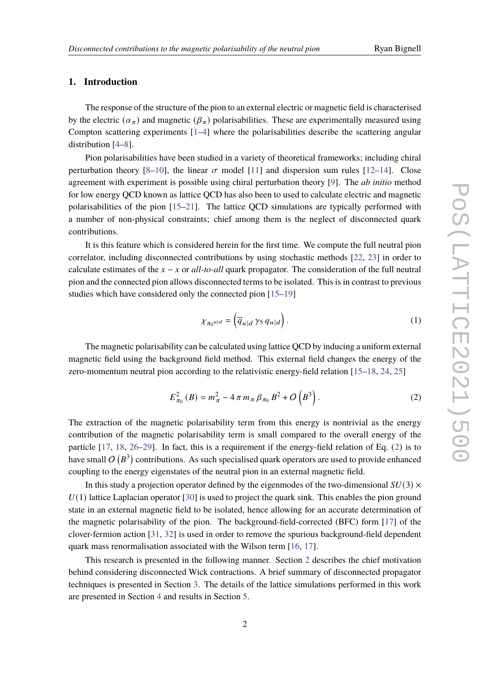# **1. Introduction**

The response of the structure of the pion to an external electric or magnetic field is characterised by the electric  $(\alpha_{\pi})$  and magnetic  $(\beta_{\pi})$  polarisabilities. These are experimentally measured using Compton scattering experiments [\[1](#page-6-0)[–4\]](#page-6-1) where the polarisabilities describe the scattering angular distribution [\[4–](#page-6-1)[8\]](#page-6-2).

Pion polarisabilities have been studied in a variety of theoretical frameworks; including chiral perturbation theory [\[8](#page-6-2)[–10\]](#page-7-0), the linear  $\sigma$  model [\[11\]](#page-7-1) and dispersion sum rules [\[12–](#page-7-2)[14\]](#page-7-3). Close agreement with experiment is possible using chiral perturbation theory [\[9\]](#page-7-4). The *ab initio* method for low energy QCD known as lattice QCD has also been to used to calculate electric and magnetic polarisabilities of the pion [\[15–](#page-7-5)[21\]](#page-7-6). The lattice QCD simulations are typically performed with a number of non-physical constraints; chief among them is the neglect of disconnected quark contributions.

It is this feature which is considered herein for the first time. We compute the full neutral pion correlator, including disconnected contributions by using stochastic methods [\[22,](#page-7-7) [23\]](#page-7-8) in order to calculate estimates of the  $x - x$  or *all-to-all* quark propagator. The consideration of the full neutral pion and the connected pion allows disconnected terms to be isolated. This is in contrast to previous studies which have considered only the connected pion [\[15–](#page-7-5)[19\]](#page-7-9)

<span id="page-1-1"></span><span id="page-1-0"></span>
$$
\chi_{\pi_0 u|d} = \left(\overline{q}_{u|d} \,\gamma_5 \, q_{u|d}\right). \tag{1}
$$

The magnetic polarisability can be calculated using lattice QCD by inducing a uniform external magnetic field using the background field method. This external field changes the energy of the zero-momentum neutral pion according to the relativistic energy-field relation [\[15–](#page-7-5)[18,](#page-7-10) [24,](#page-8-0) [25\]](#page-8-1)

$$
E_{\pi_0}^2(B) = m_{\pi}^2 - 4 \pi m_{\pi} \beta_{\pi_0} B^2 + O\left(B^3\right). \tag{2}
$$

The extraction of the magnetic polarisability term from this energy is nontrivial as the energy contribution of the magnetic polarisability term is small compared to the overall energy of the particle [\[17,](#page-7-11) [18,](#page-7-10) [26–](#page-8-2)[29\]](#page-8-3). In fact, this is a requirement if the energy-field relation of Eq. ([2](#page-1-0)) is to have small  $O(B^3)$  contributions. As such specialised quark operators are used to provide enhanced coupling to the energy eigenstates of the neutral pion in an external magnetic field.

In this study a projection operator defined by the eigenmodes of the two-dimensional  $SU(3) \times$  $U(1)$  lattice Laplacian operator [\[30\]](#page-8-4) is used to project the quark sink. This enables the pion ground state in an external magnetic field to be isolated, hence allowing for an accurate determination of the magnetic polarisability of the pion. The background-field-corrected (BFC) form [\[17\]](#page-7-11) of the clover-fermion action [\[31,](#page-8-5) [32\]](#page-8-6) is used in order to remove the spurious background-field dependent quark mass renormalisation associated with the Wilson term [\[16,](#page-7-12) [17\]](#page-7-11).

This research is presented in the following manner. Section [2](#page-2-0) describes the chief motivation behind considering disconnected Wick contractions. A brief summary of disconnected propagator techniques is presented in Section [3.](#page-4-0) The details of the lattice simulations performed in this work are presented in Section [4](#page-4-1) and results in Section [5.](#page-5-0)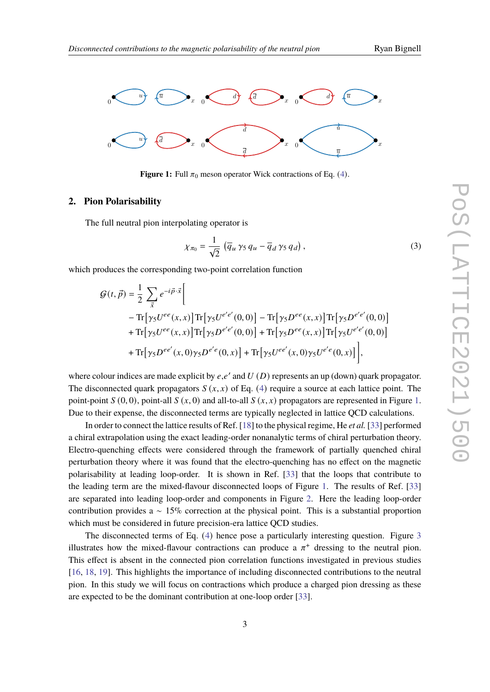<span id="page-2-1"></span>

**Figure 1:** Full  $\pi_0$  meson operator Wick contractions of Eq. ([4](#page-4-2)).

### <span id="page-2-0"></span>**2. Pion Polarisability**

The full neutral pion interpolating operator is

<span id="page-2-2"></span>
$$
\chi_{\pi_0} = \frac{1}{\sqrt{2}} \left( \overline{q}_u \gamma_5 q_u - \overline{q}_d \gamma_5 q_d \right),\tag{3}
$$

which produces the corresponding two-point correlation function

$$
G(t, \vec{p}) = \frac{1}{2} \sum_{\vec{x}} e^{-i\vec{p}\cdot\vec{x}} \Bigg[
$$
  
\n
$$
- \text{Tr} \Big[ \gamma_5 U^{ee}(x, x) \Big] \text{Tr} \Big[ \gamma_5 U^{e'e'}(0, 0) \Big] - \text{Tr} \Big[ \gamma_5 D^{ee}(x, x) \Big] \text{Tr} \Big[ \gamma_5 D^{e'e'}(0, 0) \Big]
$$
  
\n
$$
+ \text{Tr} \Big[ \gamma_5 U^{ee}(x, x) \Big] \text{Tr} \Big[ \gamma_5 D^{e'e'}(0, 0) \Big] + \text{Tr} \Big[ \gamma_5 D^{ee}(x, x) \Big] \text{Tr} \Big[ \gamma_5 U^{e'e'}(0, 0) \Big]
$$
  
\n
$$
+ \text{Tr} \Big[ \gamma_5 D^{ee'}(x, 0) \gamma_5 D^{e'e}(0, x) \Big] + \text{Tr} \Big[ \gamma_5 U^{ee'}(x, 0) \gamma_5 U^{e'e}(0, x) \Big] \Bigg],
$$

where colour indices are made explicit by  $e, e'$  and  $U(D)$  represents an up (down) quark propagator. The disconnected quark propagators  $S(x, x)$  of Eq. ([4](#page-4-2)) require a source at each lattice point. The point-point  $S(0, 0)$ , point-all  $S(x, 0)$  and all-to-all  $S(x, x)$  propagators are represented in Figure [1.](#page-2-1) Due to their expense, the disconnected terms are typically neglected in lattice QCD calculations.

In order to connect the lattice results of Ref. [\[18\]](#page-7-10) to the physical regime, He *et al.* [\[33\]](#page-8-7) performed a chiral extrapolation using the exact leading-order nonanalytic terms of chiral perturbation theory. Electro-quenching effects were considered through the framework of partially quenched chiral perturbation theory where it was found that the electro-quenching has no effect on the magnetic polarisability at leading loop-order. It is shown in Ref. [\[33\]](#page-8-7) that the loops that contribute to the leading term are the mixed-flavour disconnected loops of Figure [1.](#page-2-1) The results of Ref. [\[33\]](#page-8-7) are separated into leading loop-order and components in Figure [2.](#page-3-0) Here the leading loop-order contribution provides a  $\sim 15\%$  correction at the physical point. This is a substantial proportion which must be considered in future precision-era lattice QCD studies.

The disconnected terms of Eq. ([4](#page-4-2)) hence pose a particularly interesting question. Figure [3](#page-3-1) illustrates how the mixed-flavour contractions can produce a  $\pi^+$  dressing to the neutral pion. This effect is absent in the connected pion correlation functions investigated in previous studies [\[16,](#page-7-12) [18,](#page-7-10) [19\]](#page-7-9). This highlights the importance of including disconnected contributions to the neutral pion. In this study we will focus on contractions which produce a charged pion dressing as these are expected to be the dominant contribution at one-loop order [\[33\]](#page-8-7).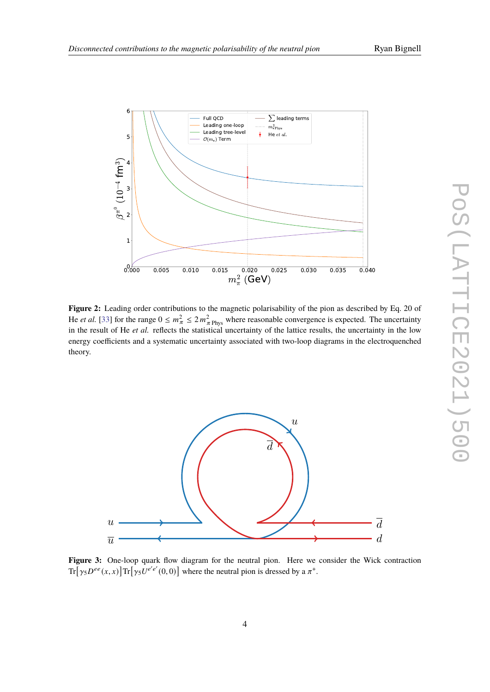

<span id="page-3-0"></span>

**Figure 2:** Leading order contributions to the magnetic polarisability of the pion as described by Eq. 20 of He *et al.* [\[33\]](#page-8-7) for the range  $0 \le m_{\pi}^2 \le 2 m_{\pi}^2$  where reasonable convergence is expected. The uncertainty in the result of He *et al.* reflects the statistical uncertainty of the lattice results, the uncertainty in the low energy coefficients and a systematic uncertainty associated with two-loop diagrams in the electroquenched theory.

<span id="page-3-1"></span>

**Figure 3:** One-loop quark flow diagram for the neutral pion. Here we consider the Wick contraction  $Tr[\gamma_5 D^{ee}(x, x)] Tr[\gamma_5 U^{e'e'}(0, 0)]$  where the neutral pion is dressed by a  $\pi^+$ .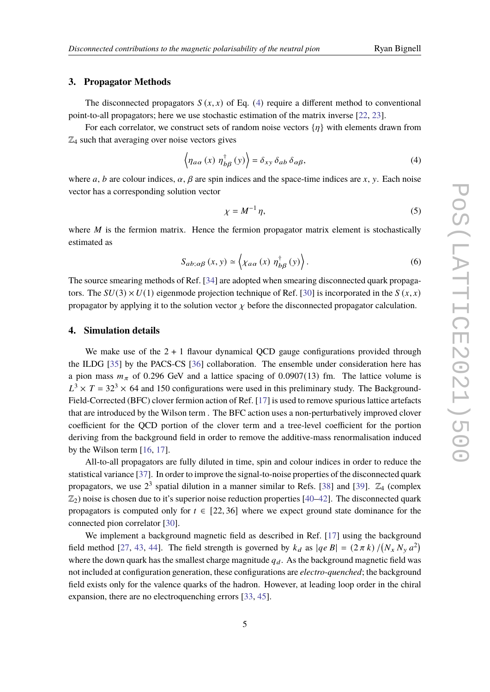#### <span id="page-4-0"></span>**3. Propagator Methods**

The disconnected propagators  $S(x, x)$  of Eq. ([4](#page-4-2)) require a different method to conventional point-to-all propagators; here we use stochastic estimation of the matrix inverse [\[22,](#page-7-7) [23\]](#page-7-8).

For each correlator, we construct sets of random noise vectors  $\{\eta\}$  with elements drawn from  $\mathbb{Z}_4$  such that averaging over noise vectors gives

$$
\langle \eta_{a\alpha}(x) \eta_{b\beta}^{\dagger}(y) \rangle = \delta_{xy} \delta_{ab} \delta_{\alpha\beta}, \tag{4}
$$

where a, b are colour indices,  $\alpha$ ,  $\beta$  are spin indices and the space-time indices are x, y. Each noise vector has a corresponding solution vector

<span id="page-4-2"></span>
$$
\chi = M^{-1} \eta,\tag{5}
$$

where  $M$  is the fermion matrix. Hence the fermion propagator matrix element is stochastically estimated as

$$
S_{ab;\alpha\beta}(x,y) \simeq \left\langle \chi_{a\alpha}(x) \eta_{b\beta}^{\dagger}(y) \right\rangle. \tag{6}
$$

The source smearing methods of Ref. [\[34\]](#page-8-8) are adopted when smearing disconnected quark propagators. The  $SU(3) \times U(1)$  eigenmode projection technique of Ref. [\[30\]](#page-8-4) is incorporated in the  $S(x, x)$ propagator by applying it to the solution vector  $\chi$  before the disconnected propagator calculation.

### <span id="page-4-1"></span>**4. Simulation details**

We make use of the  $2 + 1$  flavour dynamical QCD gauge configurations provided through the ILDG [\[35\]](#page-8-9) by the PACS-CS [\[36\]](#page-8-10) collaboration. The ensemble under consideration here has a pion mass  $m_{\pi}$  of 0.296 GeV and a lattice spacing of 0.0907(13) fm. The lattice volume is  $L^3 \times T = 32^3 \times 64$  and 150 configurations were used in this preliminary study. The Background-Field-Corrected (BFC) clover fermion action of Ref. [\[17\]](#page-7-11) is used to remove spurious lattice artefacts that are introduced by the Wilson term . The BFC action uses a non-perturbatively improved clover coefficient for the QCD portion of the clover term and a tree-level coefficient for the portion deriving from the background field in order to remove the additive-mass renormalisation induced by the Wilson term [\[16,](#page-7-12) [17\]](#page-7-11).

All-to-all propagators are fully diluted in time, spin and colour indices in order to reduce the statistical variance [\[37\]](#page-8-11). In order to improve the signal-to-noise properties of the disconnected quark propagators, we use  $2^3$  spatial dilution in a manner similar to Refs. [\[38\]](#page-8-12) and [\[39\]](#page-9-0).  $\mathbb{Z}_4$  (complex  $\mathbb{Z}_2$ ) noise is chosen due to it's superior noise reduction properties [\[40–](#page-9-1)[42\]](#page-9-2). The disconnected quark propagators is computed only for  $t \in [22, 36]$  where we expect ground state dominance for the connected pion correlator [\[30\]](#page-8-4).

We implement a background magnetic field as described in Ref. [\[17\]](#page-7-11) using the background field method [\[27,](#page-8-13) [43,](#page-9-3) [44\]](#page-9-4). The field strength is governed by  $k_d$  as  $|qe B| = (2 \pi k) / (N_x N_y a^2)$ where the down quark has the smallest charge magnitude  $q_d$ . As the background magnetic field was not included at configuration generation, these configurations are *electro-quenched*; the background field exists only for the valence quarks of the hadron. However, at leading loop order in the chiral expansion, there are no electroquenching errors [\[33,](#page-8-7) [45\]](#page-9-5).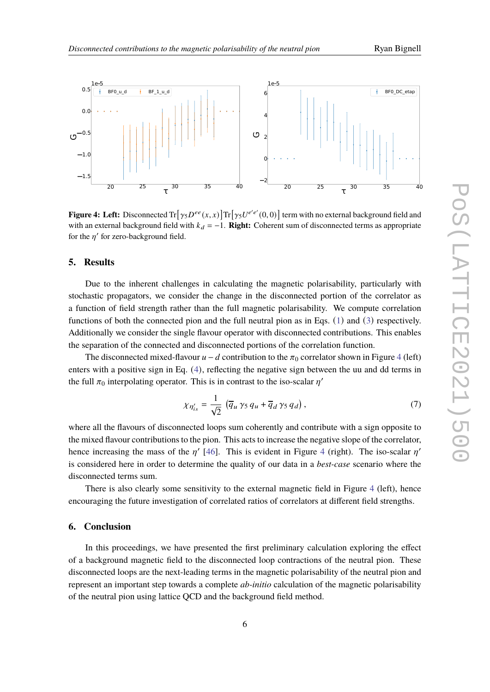<span id="page-5-1"></span>

**Figure 4: Left:** Disconnected  $\text{Tr}[\gamma_5 D^{ee}(x, x)] \text{Tr}[\gamma_5 U^{e'e'}(0, 0)]$  term with no external background field and with an external background field with  $k_d = -1$ . **Right:** Coherent sum of disconnected terms as appropriate for the  $n'$  for zero-background field.

#### <span id="page-5-0"></span>**5. Results**

Due to the inherent challenges in calculating the magnetic polarisability, particularly with stochastic propagators, we consider the change in the disconnected portion of the correlator as a function of field strength rather than the full magnetic polarisability. We compute correlation functions of both the connected pion and the full neutral pion as in Eqs. ([1](#page-1-1)) and ([3](#page-2-2)) respectively. Additionally we consider the single flavour operator with disconnected contributions. This enables the separation of the connected and disconnected portions of the correlation function.

The disconnected mixed-flavour  $u - d$  contribution to the  $\pi_0$  correlator shown in Figure [4](#page-5-1) (left) enters with a positive sign in Eq. ([4](#page-4-2)), reflecting the negative sign between the uu and dd terms in the full  $\pi_0$  interpolating operator. This is in contrast to the iso-scalar  $\eta'$ 

$$
\chi_{\eta'_{is}} = \frac{1}{\sqrt{2}} \left( \overline{q}_u \gamma_5 q_u + \overline{q}_d \gamma_5 q_d \right),\tag{7}
$$

where all the flavours of disconnected loops sum coherently and contribute with a sign opposite to the mixed flavour contributions to the pion. This acts to increase the negative slope of the correlator, hence increasing the mass of the  $n'$  [\[46\]](#page-9-6). This is evident in Figure [4](#page-5-1) (right). The iso-scalar  $n'$ is considered here in order to determine the quality of our data in a *best-case* scenario where the disconnected terms sum.

There is also clearly some sensitivity to the external magnetic field in Figure [4](#page-5-1) (left), hence encouraging the future investigation of correlated ratios of correlators at different field strengths.

#### **6. Conclusion**

In this proceedings, we have presented the first preliminary calculation exploring the effect of a background magnetic field to the disconnected loop contractions of the neutral pion. These disconnected loops are the next-leading terms in the magnetic polarisability of the neutral pion and represent an important step towards a complete *ab-initio* calculation of the magnetic polarisability of the neutral pion using lattice QCD and the background field method.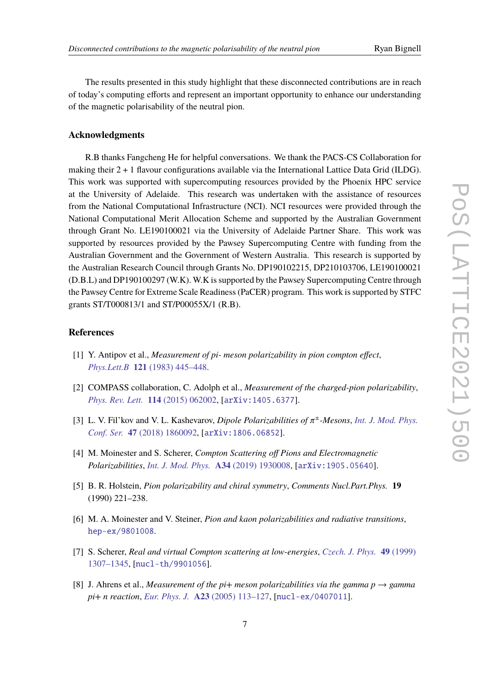The results presented in this study highlight that these disconnected contributions are in reach of today's computing efforts and represent an important opportunity to enhance our understanding of the magnetic polarisability of the neutral pion.

### **Acknowledgments**

R.B thanks Fangcheng He for helpful conversations. We thank the PACS-CS Collaboration for making their  $2 + 1$  flavour configurations available via the International Lattice Data Grid (ILDG). This work was supported with supercomputing resources provided by the Phoenix HPC service at the University of Adelaide. This research was undertaken with the assistance of resources from the National Computational Infrastructure (NCI). NCI resources were provided through the National Computational Merit Allocation Scheme and supported by the Australian Government through Grant No. LE190100021 via the University of Adelaide Partner Share. This work was supported by resources provided by the Pawsey Supercomputing Centre with funding from the Australian Government and the Government of Western Australia. This research is supported by the Australian Research Council through Grants No. DP190102215, DP210103706, LE190100021 (D.B.L) and DP190100297 (W.K). W.K is supported by the Pawsey Supercomputing Centre through the Pawsey Centre for Extreme Scale Readiness (PaCER) program. This work is supported by STFC grants ST/T000813/1 and ST/P00055X/1 (R.B).

## **References**

- <span id="page-6-0"></span>[1] Y. Antipov et al., *Measurement of pi- meson polarizability in pion compton effect*, *Phys.Lett.B* **121** [\(1983\) 445–448.](http://dx.doi.org/10.1016/0370-2693(83)91195-4)
- [2] COMPASS collaboration, C. Adolph et al., *Measurement of the charged-pion polarizability*, *[Phys. Rev. Lett.](http://dx.doi.org/10.1103/PhysRevLett.114.062002)* **114** (2015) 062002, [[arXiv:1405.6377](http://arxiv.org/abs/1405.6377)].
- [3] L. V. Fil'kov and V. L. Kashevarov, *Dipole Polarizabilities of*  $\pi^{\pm}$ -Mesons, *[Int. J. Mod. Phys.](http://dx.doi.org/10.1142/S2010194518600923) Conf. Ser.* **47** [\(2018\) 1860092,](http://dx.doi.org/10.1142/S2010194518600923) [[arXiv:1806.06852](http://arxiv.org/abs/1806.06852)].
- <span id="page-6-1"></span>[4] M. Moinester and S. Scherer, *Compton Scattering off Pions and Electromagnetic Polarizabilities*, *[Int. J. Mod. Phys.](http://dx.doi.org/10.1142/S0217751X19300084)* **A34** (2019) 1930008, [[arXiv:1905.05640](http://arxiv.org/abs/1905.05640)].
- [5] B. R. Holstein, *Pion polarizability and chiral symmetry*, *Comments Nucl.Part.Phys.* **19** (1990) 221–238.
- [6] M. A. Moinester and V. Steiner, *Pion and kaon polarizabilities and radiative transitions*, [hep-ex/9801008](https://arxiv.org/abs/hep-ex/9801008).
- [7] S. Scherer, *Real and virtual Compton scattering at low-energies*, *[Czech. J. Phys.](http://dx.doi.org/10.1023/A:1022872211333)* **49** (1999) [1307–1345,](http://dx.doi.org/10.1023/A:1022872211333) [[nucl-th/9901056](https://arxiv.org/abs/nucl-th/9901056)].
- <span id="page-6-2"></span>[8] J. Ahrens et al., *Measurement of the pi+ meson polarizabilities via the gamma p*  $\rightarrow$  *gamma pi+ n reaction*, *Eur. Phys. J.* **A23** [\(2005\) 113–127,](http://dx.doi.org/10.1140/epja/i2004-10056-2) [[nucl-ex/0407011](https://arxiv.org/abs/nucl-ex/0407011)].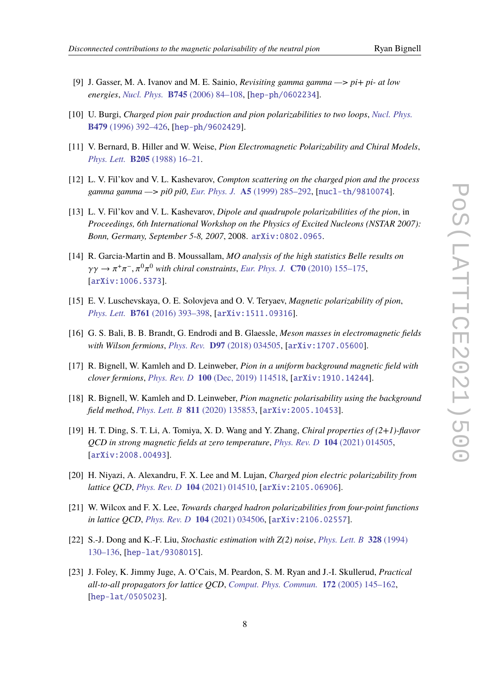- 
- <span id="page-7-4"></span>[9] J. Gasser, M. A. Ivanov and M. E. Sainio, *Revisiting gamma gamma —> pi+ pi- at low energies*, *Nucl. Phys.* **B745** [\(2006\) 84–108,](http://dx.doi.org/10.1016/j.nuclphysb.2006.03.022) [[hep-ph/0602234](https://arxiv.org/abs/hep-ph/0602234)].
- <span id="page-7-0"></span>[10] U. Burgi, *Charged pion pair production and pion polarizabilities to two loops*, *[Nucl. Phys.](http://dx.doi.org/10.1016/0550-3213(96)00454-3)* **B479** [\(1996\) 392–426,](http://dx.doi.org/10.1016/0550-3213(96)00454-3) [[hep-ph/9602429](https://arxiv.org/abs/hep-ph/9602429)].
- <span id="page-7-1"></span>[11] V. Bernard, B. Hiller and W. Weise, *Pion Electromagnetic Polarizability and Chiral Models*, *Phys. Lett.* **B205** [\(1988\) 16–21.](http://dx.doi.org/10.1016/0370-2693(88)90391-7)
- <span id="page-7-2"></span>[12] L. V. Fil'kov and V. L. Kashevarov, *Compton scattering on the charged pion and the process gamma gamma —> pi0 pi0*, *Eur. Phys. J.* **A5** [\(1999\) 285–292,](http://dx.doi.org/10.1007/s100500050287) [[nucl-th/9810074](https://arxiv.org/abs/nucl-th/9810074)].
- [13] L. V. Fil'kov and V. L. Kashevarov, *Dipole and quadrupole polarizabilities of the pion*, in *Proceedings, 6th International Workshop on the Physics of Excited Nucleons (NSTAR 2007): Bonn, Germany, September 5-8, 2007*, 2008. [arXiv:0802.0965](http://arxiv.org/abs/0802.0965).
- <span id="page-7-3"></span>[14] R. Garcia-Martin and B. Moussallam, *MO analysis of the high statistics Belle results on*  $\gamma\gamma \to \pi^+\pi^-, \pi^0\pi^0$  with chiral constraints, *Eur. Phys. J.* **C70** [\(2010\) 155–175,](http://dx.doi.org/10.1140/epjc/s10052-010-1471-7) [[arXiv:1006.5373](http://arxiv.org/abs/1006.5373)].
- <span id="page-7-5"></span>[15] E. V. Luschevskaya, O. E. Solovjeva and O. V. Teryaev, *Magnetic polarizability of pion*, *Phys. Lett.* **B761** [\(2016\) 393–398,](http://dx.doi.org/10.1016/j.physletb.2016.08.054) [[arXiv:1511.09316](http://arxiv.org/abs/1511.09316)].
- <span id="page-7-12"></span>[16] G. S. Bali, B. B. Brandt, G. Endrodi and B. Glaessle, *Meson masses in electromagnetic fields with Wilson fermions*, *Phys. Rev.* **D97** [\(2018\) 034505,](http://dx.doi.org/10.1103/PhysRevD.97.034505) [[arXiv:1707.05600](http://arxiv.org/abs/1707.05600)].
- <span id="page-7-11"></span>[17] R. Bignell, W. Kamleh and D. Leinweber, *Pion in a uniform background magnetic field with clover fermions*, *Phys. Rev. D* **100** [\(Dec, 2019\) 114518,](http://dx.doi.org/10.1103/PhysRevD.100.114518) [[arXiv:1910.14244](http://arxiv.org/abs/1910.14244)].
- <span id="page-7-10"></span>[18] R. Bignell, W. Kamleh and D. Leinweber, *Pion magnetic polarisability using the background field method*, *[Phys. Lett. B](http://dx.doi.org/10.1016/j.physletb.2020.135853)* **811** (2020) 135853, [[arXiv:2005.10453](http://arxiv.org/abs/2005.10453)].
- <span id="page-7-9"></span>[19] H. T. Ding, S. T. Li, A. Tomiya, X. D. Wang and Y. Zhang, *Chiral properties of (2+1)-flavor QCD in strong magnetic fields at zero temperature*, *[Phys. Rev. D](http://dx.doi.org/10.1103/PhysRevD.104.014505)* **104** (2021) 014505, [[arXiv:2008.00493](http://arxiv.org/abs/2008.00493)].
- [20] H. Niyazi, A. Alexandru, F. X. Lee and M. Lujan, *Charged pion electric polarizability from lattice QCD*, *[Phys. Rev. D](http://dx.doi.org/10.1103/PhysRevD.104.014510)* **104** (2021) 014510, [[arXiv:2105.06906](http://arxiv.org/abs/2105.06906)].
- <span id="page-7-6"></span>[21] W. Wilcox and F. X. Lee, *Towards charged hadron polarizabilities from four-point functions in lattice QCD*, *[Phys. Rev. D](http://dx.doi.org/10.1103/PhysRevD.104.034506)* **104** (2021) 034506, [[arXiv:2106.02557](http://arxiv.org/abs/2106.02557)].
- <span id="page-7-7"></span>[22] S.-J. Dong and K.-F. Liu, *Stochastic estimation with Z(2) noise*, *[Phys. Lett. B](http://dx.doi.org/10.1016/0370-2693(94)90440-5)* **328** (1994) [130–136,](http://dx.doi.org/10.1016/0370-2693(94)90440-5) [[hep-lat/9308015](https://arxiv.org/abs/hep-lat/9308015)].
- <span id="page-7-8"></span>[23] J. Foley, K. Jimmy Juge, A. O'Cais, M. Peardon, S. M. Ryan and J.-I. Skullerud, *Practical all-to-all propagators for lattice QCD*, *[Comput. Phys. Commun.](http://dx.doi.org/10.1016/j.cpc.2005.06.008)* **172** (2005) 145–162, [[hep-lat/0505023](https://arxiv.org/abs/hep-lat/0505023)].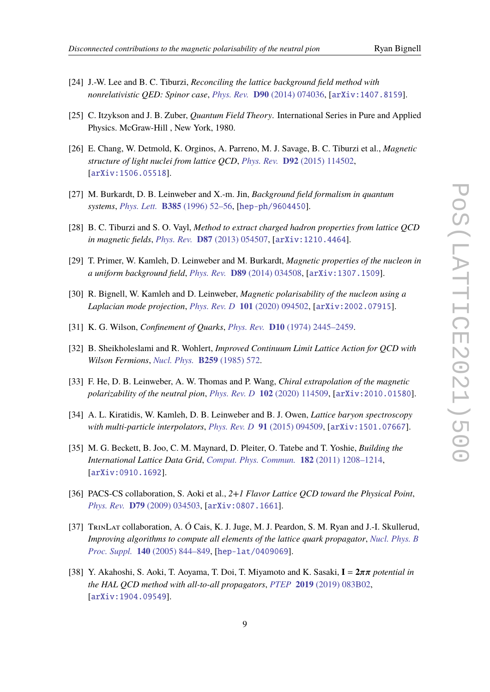- 
- <span id="page-8-0"></span>[24] J.-W. Lee and B. C. Tiburzi, *Reconciling the lattice background field method with nonrelativistic QED: Spinor case*, *Phys. Rev.* **D90** [\(2014\) 074036,](http://dx.doi.org/10.1103/PhysRevD.90.074036) [[arXiv:1407.8159](http://arxiv.org/abs/1407.8159)].
- <span id="page-8-1"></span>[25] C. Itzykson and J. B. Zuber, *Quantum Field Theory*. International Series in Pure and Applied Physics. McGraw-Hill , New York, 1980.
- <span id="page-8-2"></span>[26] E. Chang, W. Detmold, K. Orginos, A. Parreno, M. J. Savage, B. C. Tiburzi et al., *Magnetic structure of light nuclei from lattice QCD*, *Phys. Rev.* **D92** [\(2015\) 114502,](http://dx.doi.org/10.1103/PhysRevD.92.114502) [[arXiv:1506.05518](http://arxiv.org/abs/1506.05518)].
- <span id="page-8-13"></span>[27] M. Burkardt, D. B. Leinweber and X.-m. Jin, *Background field formalism in quantum systems*, *Phys. Lett.* **B385** [\(1996\) 52–56,](http://dx.doi.org/10.1016/0370-2693(96)00881-7) [[hep-ph/9604450](https://arxiv.org/abs/hep-ph/9604450)].
- [28] B. C. Tiburzi and S. O. Vayl, *Method to extract charged hadron properties from lattice QCD in magnetic fields*, *Phys. Rev.* **D87** [\(2013\) 054507,](http://dx.doi.org/10.1103/PhysRevD.87.054507) [[arXiv:1210.4464](http://arxiv.org/abs/1210.4464)].
- <span id="page-8-3"></span>[29] T. Primer, W. Kamleh, D. Leinweber and M. Burkardt, *Magnetic properties of the nucleon in a uniform background field*, *Phys. Rev.* **D89** [\(2014\) 034508,](http://dx.doi.org/10.1103/PhysRevD.89.034508) [[arXiv:1307.1509](http://arxiv.org/abs/1307.1509)].
- <span id="page-8-4"></span>[30] R. Bignell, W. Kamleh and D. Leinweber, *Magnetic polarisability of the nucleon using a Laplacian mode projection*, *[Phys. Rev. D](http://dx.doi.org/10.1103/PhysRevD.101.094502)* **101** (2020) 094502, [[arXiv:2002.07915](http://arxiv.org/abs/2002.07915)].
- <span id="page-8-5"></span>[31] K. G. Wilson, *Confinement of Quarks*, *Phys. Rev.* **D10** [\(1974\) 2445–2459.](http://dx.doi.org/10.1103/PhysRevD.10.2445)
- <span id="page-8-6"></span>[32] B. Sheikholeslami and R. Wohlert, *Improved Continuum Limit Lattice Action for QCD with Wilson Fermions*, *[Nucl. Phys.](http://dx.doi.org/10.1016/0550-3213(85)90002-1)* **B259** (1985) 572.
- <span id="page-8-7"></span>[33] F. He, D. B. Leinweber, A. W. Thomas and P. Wang, *Chiral extrapolation of the magnetic polarizability of the neutral pion*, *[Phys. Rev. D](http://dx.doi.org/10.1103/PhysRevD.102.114509)* **102** (2020) 114509, [[arXiv:2010.01580](http://arxiv.org/abs/2010.01580)].
- <span id="page-8-8"></span>[34] A. L. Kiratidis, W. Kamleh, D. B. Leinweber and B. J. Owen, *Lattice baryon spectroscopy with multi-particle interpolators*, *[Phys. Rev. D](http://dx.doi.org/10.1103/PhysRevD.91.094509)* **91** (2015) 094509, [[arXiv:1501.07667](http://arxiv.org/abs/1501.07667)].
- <span id="page-8-9"></span>[35] M. G. Beckett, B. Joo, C. M. Maynard, D. Pleiter, O. Tatebe and T. Yoshie, *Building the International Lattice Data Grid*, *[Comput. Phys. Commun.](http://dx.doi.org/10.1016/j.cpc.2011.01.027)* **182** (2011) 1208–1214, [[arXiv:0910.1692](http://arxiv.org/abs/0910.1692)].
- <span id="page-8-10"></span>[36] PACS-CS collaboration, S. Aoki et al., *2+1 Flavor Lattice QCD toward the Physical Point*, *Phys. Rev.* **D79** [\(2009\) 034503,](http://dx.doi.org/10.1103/PhysRevD.79.034503) [[arXiv:0807.1661](http://arxiv.org/abs/0807.1661)].
- <span id="page-8-11"></span>[37] TrinLat collaboration, A. Ó Cais, K. J. Juge, M. J. Peardon, S. M. Ryan and J.-I. Skullerud, *Improving algorithms to compute all elements of the lattice quark propagator*, *[Nucl. Phys. B](http://dx.doi.org/10.1016/j.nuclphysbps.2004.11.286) Proc. Suppl.* **140** [\(2005\) 844–849,](http://dx.doi.org/10.1016/j.nuclphysbps.2004.11.286) [[hep-lat/0409069](https://arxiv.org/abs/hep-lat/0409069)].
- <span id="page-8-12"></span>[38] Y. Akahoshi, S. Aoki, T. Aoyama, T. Doi, T. Miyamoto and K. Sasaki,  $I = 2\pi\pi$  potential in *the HAL QCD method with all-to-all propagators*, *PTEP* **2019** [\(2019\) 083B02,](http://dx.doi.org/10.1093/ptep/ptz078) [[arXiv:1904.09549](http://arxiv.org/abs/1904.09549)].